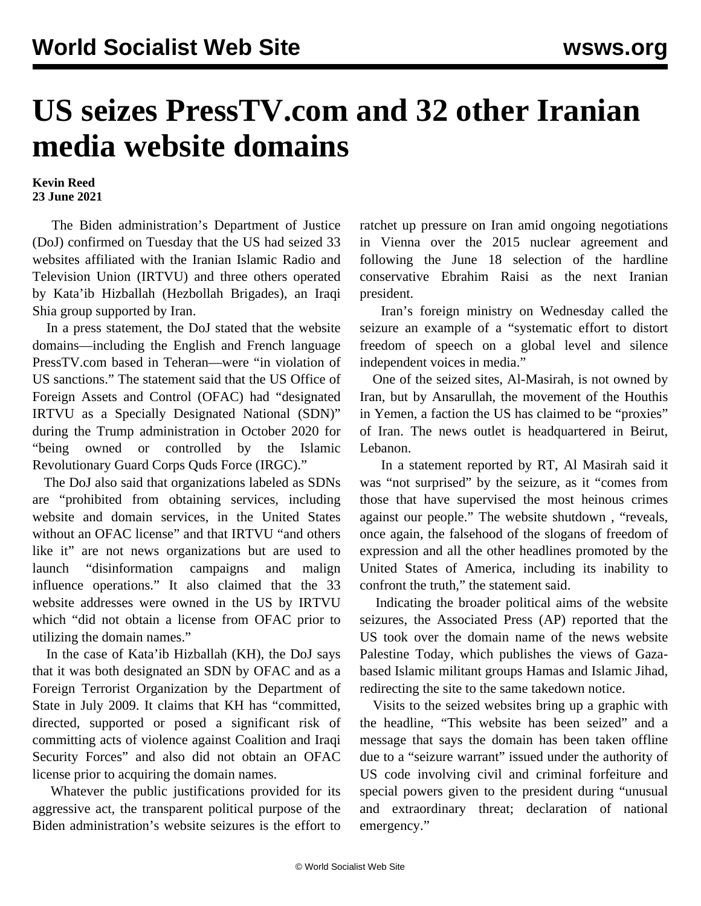## **US seizes PressTV.com and 32 other Iranian media website domains**

## **Kevin Reed 23 June 2021**

 The Biden administration's Department of Justice (DoJ) confirmed on Tuesday that the US had seized 33 websites affiliated with the Iranian Islamic Radio and Television Union (IRTVU) and three others operated by Kata'ib Hizballah (Hezbollah Brigades), an Iraqi Shia group supported by Iran.

 In a press statement, the DoJ stated that the website domains—including the English and French language PressTV.com based in Teheran—were "in violation of US sanctions." The statement said that the US Office of Foreign Assets and Control (OFAC) had "designated IRTVU as a Specially Designated National (SDN)" during the Trump administration in October 2020 for "being owned or controlled by the Islamic Revolutionary Guard Corps Quds Force (IRGC)."

 The DoJ also said that organizations labeled as SDNs are "prohibited from obtaining services, including website and domain services, in the United States without an OFAC license" and that IRTVU "and others like it" are not news organizations but are used to launch "disinformation campaigns and malign influence operations." It also claimed that the 33 website addresses were owned in the US by IRTVU which "did not obtain a license from OFAC prior to utilizing the domain names."

 In the case of Kata'ib Hizballah (KH), the DoJ says that it was both designated an SDN by OFAC and as a Foreign Terrorist Organization by the Department of State in July 2009. It claims that KH has "committed, directed, supported or posed a significant risk of committing acts of violence against Coalition and Iraqi Security Forces" and also did not obtain an OFAC license prior to acquiring the domain names.

 Whatever the public justifications provided for its aggressive act, the transparent political purpose of the Biden administration's website seizures is the effort to ratchet up pressure on Iran amid ongoing negotiations in Vienna over the 2015 nuclear agreement and following the June 18 selection of the hardline conservative Ebrahim Raisi as the next Iranian president.

 Iran's foreign ministry on Wednesday called the seizure an example of a "systematic effort to distort freedom of speech on a global level and silence independent voices in media."

 One of the seized sites, Al-Masirah, is not owned by Iran, but by Ansarullah, the movement of the Houthis in Yemen, a faction the US has claimed to be "proxies" of Iran. The news outlet is headquartered in Beirut, Lebanon.

 In a statement reported by RT, Al Masirah said it was "not surprised" by the seizure, as it "comes from those that have supervised the most heinous crimes against our people." The website shutdown *,* "reveals, once again, the falsehood of the slogans of freedom of expression and all the other headlines promoted by the United States of America, including its inability to confront the truth," the statement said.

 Indicating the broader political aims of the website seizures, the Associated Press (AP) reported that the US took over the domain name of the news website Palestine Today, which publishes the views of Gazabased Islamic militant groups Hamas and Islamic Jihad, redirecting the site to the same takedown notice.

 Visits to the seized websites bring up a graphic with the headline, "This website has been seized" and a message that says the domain has been taken offline due to a "seizure warrant" issued under the authority of US code involving civil and criminal forfeiture and special powers given to the president during "unusual and extraordinary threat; declaration of national emergency."